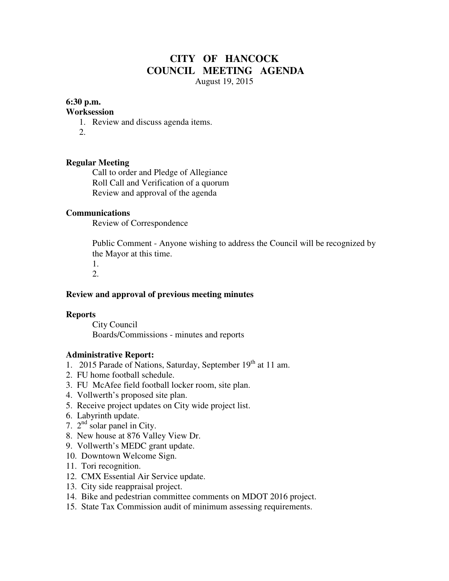# **CITY OF HANCOCK COUNCIL MEETING AGENDA**  August 19, 2015

# **6:30 p.m.**

#### **Worksession**

- 1. Review and discuss agenda items.
- 2.

# **Regular Meeting**

 Call to order and Pledge of Allegiance Roll Call and Verification of a quorum Review and approval of the agenda

#### **Communications**

Review of Correspondence

 Public Comment - Anyone wishing to address the Council will be recognized by the Mayor at this time.

1.

2.

### **Review and approval of previous meeting minutes**

#### **Reports**

City Council Boards/Commissions - minutes and reports

#### **Administrative Report:**

- 1. 2015 Parade of Nations, Saturday, September  $19<sup>th</sup>$  at 11 am.
- 2. FU home football schedule.
- 3. FU McAfee field football locker room, site plan.
- 4. Vollwerth's proposed site plan.
- 5. Receive project updates on City wide project list.
- 6. Labyrinth update.
- 7. 2nd solar panel in City.
- 8. New house at 876 Valley View Dr.
- 9. Vollwerth's MEDC grant update.
- 10. Downtown Welcome Sign.
- 11. Tori recognition.
- 12. CMX Essential Air Service update.
- 13. City side reappraisal project.
- 14. Bike and pedestrian committee comments on MDOT 2016 project.
- 15. State Tax Commission audit of minimum assessing requirements.